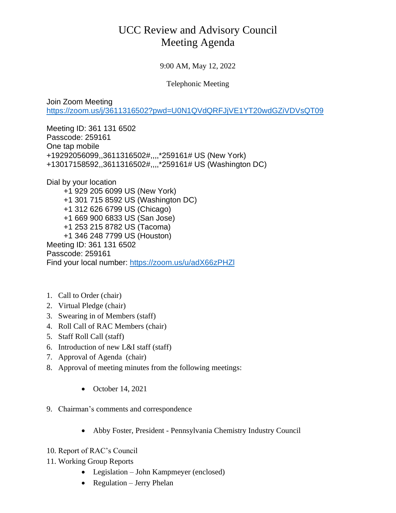## UCC Review and Advisory Council Meeting Agenda

9:00 AM, May 12, 2022

Telephonic Meeting

Join Zoom Meeting <https://zoom.us/j/3611316502?pwd=U0N1QVdQRFJjVE1YT20wdGZiVDVsQT09>

Meeting ID: 361 131 6502 Passcode: 259161 One tap mobile +19292056099,,3611316502#,,,,\*259161# US (New York) +13017158592,,3611316502#,,,,\*259161# US (Washington DC)

Dial by your location +1 929 205 6099 US (New York) +1 301 715 8592 US (Washington DC) +1 312 626 6799 US (Chicago) +1 669 900 6833 US (San Jose) +1 253 215 8782 US (Tacoma) +1 346 248 7799 US (Houston) Meeting ID: 361 131 6502 Passcode: 259161 Find your local number:<https://zoom.us/u/adX66zPHZl>

- 1. Call to Order (chair)
- 2. Virtual Pledge (chair)
- 3. Swearing in of Members (staff)
- 4. Roll Call of RAC Members (chair)
- 5. Staff Roll Call (staff)
- 6. Introduction of new L&I staff (staff)
- 7. Approval of Agenda (chair)
- 8. Approval of meeting minutes from the following meetings:
	- October 14, 2021
- 9. Chairman's comments and correspondence
	- Abby Foster, President Pennsylvania Chemistry Industry Council
- 10. Report of RAC's Council
- 11. Working Group Reports
	- Legislation John Kampmeyer (enclosed)
	- Regulation Jerry Phelan